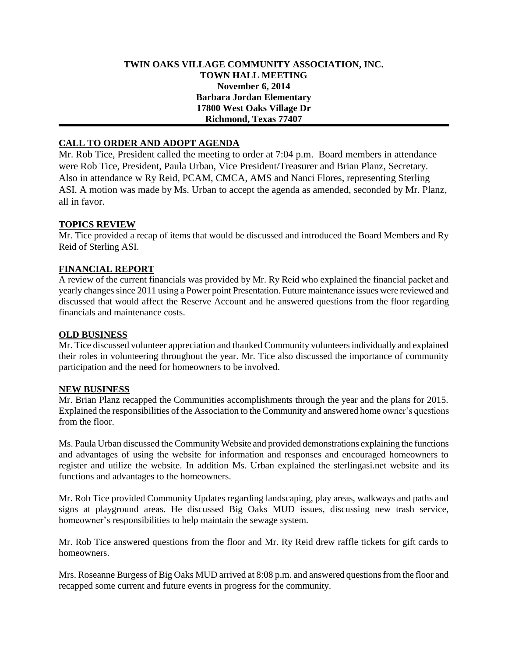## **TWIN OAKS VILLAGE COMMUNITY ASSOCIATION, INC. TOWN HALL MEETING November 6, 2014 Barbara Jordan Elementary 17800 West Oaks Village Dr Richmond, Texas 77407**

# **CALL TO ORDER AND ADOPT AGENDA**

Mr. Rob Tice, President called the meeting to order at 7:04 p.m. Board members in attendance were Rob Tice, President, Paula Urban, Vice President/Treasurer and Brian Planz, Secretary. Also in attendance w Ry Reid, PCAM, CMCA, AMS and Nanci Flores, representing Sterling ASI. A motion was made by Ms. Urban to accept the agenda as amended, seconded by Mr. Planz, all in favor.

### **TOPICS REVIEW**

Mr. Tice provided a recap of items that would be discussed and introduced the Board Members and Ry Reid of Sterling ASI.

## **FINANCIAL REPORT**

A review of the current financials was provided by Mr. Ry Reid who explained the financial packet and yearly changes since 2011 using a Power point Presentation. Future maintenance issues were reviewed and discussed that would affect the Reserve Account and he answered questions from the floor regarding financials and maintenance costs.

#### **OLD BUSINESS**

Mr. Tice discussed volunteer appreciation and thanked Community volunteers individually and explained their roles in volunteering throughout the year. Mr. Tice also discussed the importance of community participation and the need for homeowners to be involved.

#### **NEW BUSINESS**

Mr. Brian Planz recapped the Communities accomplishments through the year and the plans for 2015. Explained the responsibilities of the Association to the Community and answered home owner's questions from the floor.

Ms. Paula Urban discussed the Community Website and provided demonstrations explaining the functions and advantages of using the website for information and responses and encouraged homeowners to register and utilize the website. In addition Ms. Urban explained the sterlingasi.net website and its functions and advantages to the homeowners.

Mr. Rob Tice provided Community Updates regarding landscaping, play areas, walkways and paths and signs at playground areas. He discussed Big Oaks MUD issues, discussing new trash service, homeowner's responsibilities to help maintain the sewage system.

Mr. Rob Tice answered questions from the floor and Mr. Ry Reid drew raffle tickets for gift cards to homeowners.

Mrs. Roseanne Burgess of Big Oaks MUD arrived at 8:08 p.m. and answered questions from the floor and recapped some current and future events in progress for the community.